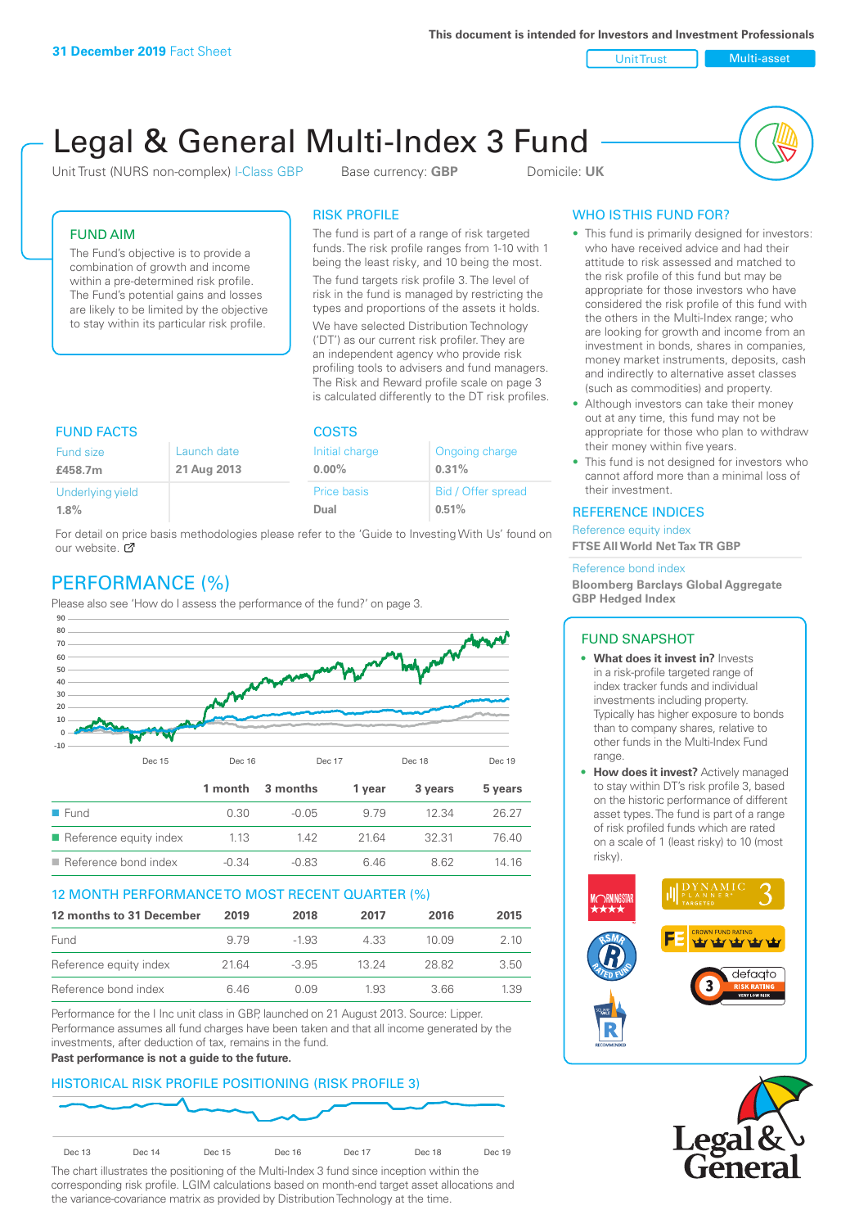**This document is intended for Investors and Investment Professionals**

Unit Trust Nulti-asset

# Legal & General Multi-Index 3 Fund

Unit Trust (NURS non-complex) I-Class GBP Base currency: **GBP** Domicile: UK



## FUND AIM

The Fund's objective is to provide a combination of growth and income within a pre-determined risk profile. The Fund's potential gains and losses are likely to be limited by the objective to stay within its particular risk profile.

#### RISK PROFILE

The fund is part of a range of risk targeted funds. The risk profile ranges from 1-10 with 1 being the least risky, and 10 being the most.

The fund targets risk profile 3. The level of risk in the fund is managed by restricting the types and proportions of the assets it holds. We have selected Distribution Technology ('DT') as our current risk profiler. They are an independent agency who provide risk profiling tools to advisers and fund managers. The Risk and Reward profile scale on page 3 is calculated differently to the DT risk profiles.

| <b>FUND FACTS</b> |             | <b>COSTS</b>   |                    |  |
|-------------------|-------------|----------------|--------------------|--|
| Fund size         | Launch date | Initial charge | Ongoing charge     |  |
| £458.7m           | 21 Aug 2013 | $0.00\%$       | 0.31%              |  |
| Underlying yield  |             | Price basis    | Bid / Offer spread |  |
| $1.8\%$           |             | Dual           | 0.51%              |  |

For detail on price basis methodologies please refer to the 'Guide to Investing With Us' found on our website. Ø

# PERFORMANCE (%)

Please also see 'How do I assess the performance of the fund?' on page 3.



## 12 MONTH PERFORMANCE TO MOST RECENT QUARTER (%)

| 12 months to 31 December | 2019 | 2018    | 2017  | 2016   | 2015 |
|--------------------------|------|---------|-------|--------|------|
| Fund                     | 9.79 | -1.93   | 4.33  | 10 Q.9 | 2.10 |
| Reference equity index   | 2164 | $-3.95$ | 13 24 | 28.82  | 3.50 |
| Reference bond index     | 6 46 | N N9    | 1.93  | 3.66   | 1.39 |

Performance for the I Inc unit class in GBP, launched on 21 August 2013. Source: Lipper. Performance assumes all fund charges have been taken and that all income generated by the investments, after deduction of tax, remains in the fund.

#### **Past performance is not a guide to the future.**

## HISTORICAL RISK PROFILE POSITIONING (RISK PROFILE 3)



The chart illustrates the positioning of the Multi-Index 3 fund since inception within the corresponding risk profile. LGIM calculations based on month-end target asset allocations and the variance-covariance matrix as provided by Distribution Technology at the time.

# WHO IS THIS FUND FOR?

- This fund is primarily designed for investors: who have received advice and had their attitude to risk assessed and matched to the risk profile of this fund but may be appropriate for those investors who have considered the risk profile of this fund with the others in the Multi-Index range; who are looking for growth and income from an investment in bonds, shares in companies, money market instruments, deposits, cash and indirectly to alternative asset classes (such as commodities) and property.
- Although investors can take their money out at any time, this fund may not be appropriate for those who plan to withdraw their money within five years.
- This fund is not designed for investors who cannot afford more than a minimal loss of their investment.

#### REFERENCE INDICES

Reference equity index **FTSE All World Net Tax TR GBP**

#### Reference bond index

**Bloomberg Barclays Global Aggregate GBP Hedged Index**

#### FUND SNAPSHOT

- **• What does it invest in?** Invests in a risk-profile targeted range of index tracker funds and individual investments including property. Typically has higher exposure to bonds than to company shares, relative to other funds in the Multi-Index Fund range.
- **• How does it invest?** Actively managed to stay within DT's risk profile 3, based on the historic performance of different asset types. The fund is part of a range of risk profiled funds which are rated on a scale of 1 (least risky) to 10 (most risky).



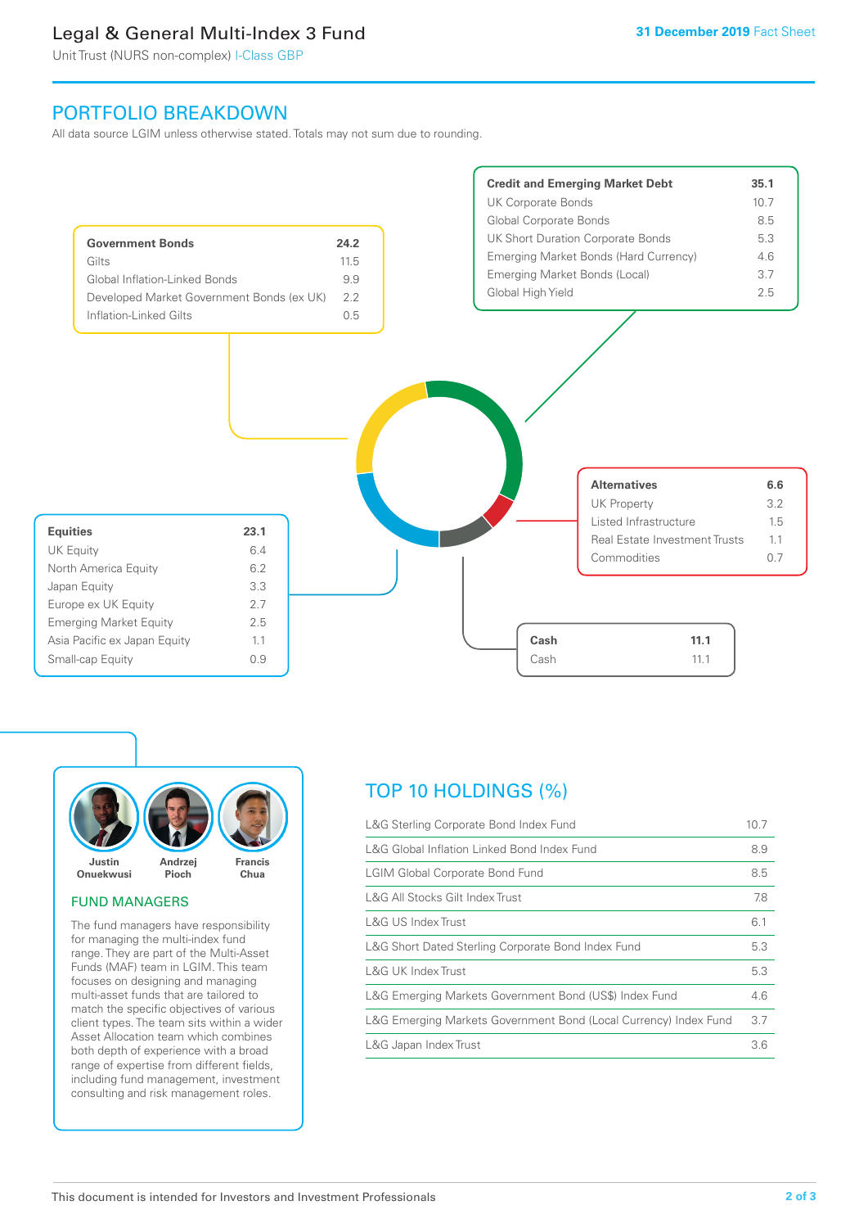# Legal & General Multi-Index 3 Fund

Unit Trust (NURS non-complex) I-Class GBP

# PORTFOLIO BREAKDOWN

All data source LGIM unless otherwise stated. Totals may not sum due to rounding.





#### FUND MANAGERS

The fund managers have responsibility for managing the multi-index fund range. They are part of the Multi-Asset Funds (MAF) team in LGIM. This team focuses on designing and managing multi-asset funds that are tailored to match the specific objectives of various client types. The team sits within a wider Asset Allocation team which combines both depth of experience with a broad range of expertise from different fields, including fund management, investment consulting and risk management roles.

# TOP 10 HOLDINGS (%)

| L&G Sterling Corporate Bond Index Fund                           | 10.7 |
|------------------------------------------------------------------|------|
| L&G Global Inflation Linked Bond Index Fund                      | 8.9  |
| <b>LGIM Global Corporate Bond Fund</b>                           | 8.5  |
| L&G All Stocks Gilt Index Trust                                  | 7.8  |
| L&G US Index Trust                                               | 6.1  |
| L&G Short Dated Sterling Corporate Bond Index Fund               | 5.3  |
| L&G UK Index Trust                                               | 5.3  |
| L&G Emerging Markets Government Bond (US\$) Index Fund           | 4.6  |
| L&G Emerging Markets Government Bond (Local Currency) Index Fund | 3.7  |
| L&G Japan Index Trust                                            | 3.6  |